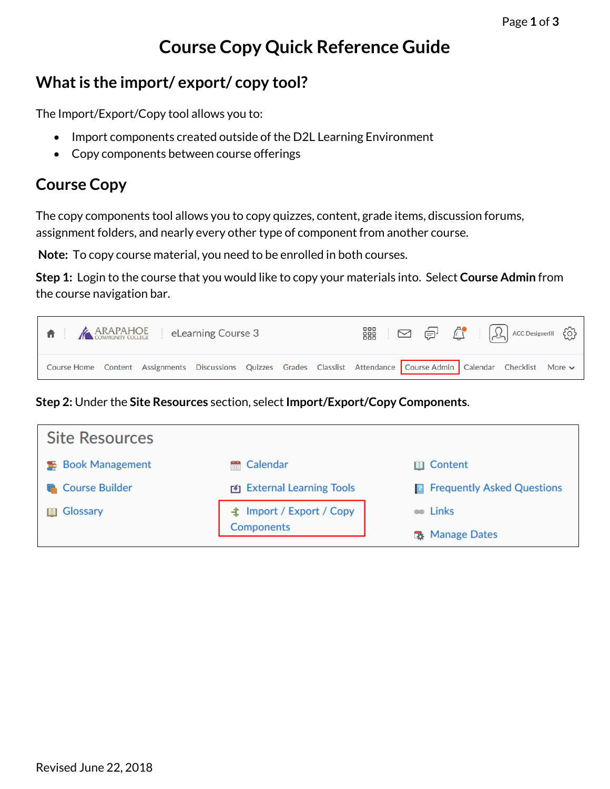## **Course Copy Quick Reference Guide**

## **What is the import/ export/ copy tool?**

The Import/Export/Copy tool allows you to:

- Import components created outside of the D2L Learning Environment
- Copy components between course offerings

## **Course Copy**

The copy components tool allows you to copy quizzes, content, grade items, discussion forums, assignment folders, and nearly every other type of component from another course.

**Note:** To copy course material, you need to be enrolled in both courses.

**Step 1:** Login to the course that you would like to copy your materials into. Select **Course Admin** from the course navigation bar.

| $\parallel \bigstar$ $\parallel$ $\bigstar$ ARAPAHOE eLearning Course 3                                                |  |  | ■ □ □ □ △ △ □ △ △ → □ |
|------------------------------------------------------------------------------------------------------------------------|--|--|-----------------------|
| Course Home Content Assignments Discussions Quizzes Grades Classlist Attendance Course Admin Calendar Checklist More v |  |  |                       |

**Step 2:** Under the **Site Resources** section, select **Import/Export/Copy Components**.

| <b>Site Resources</b>    |                                |                                     |
|--------------------------|--------------------------------|-------------------------------------|
| <b>S</b> Book Management | <b>● Calendar</b>              | <b>□ Content</b>                    |
| <b>Course Builder</b>    | <b>EXTERNAL LEARNING TOOLS</b> | <b>R</b> Frequently Asked Questions |
| Glossary<br>間            |                                | <b>es</b> Links                     |
|                          | Components                     | Manage Dates                        |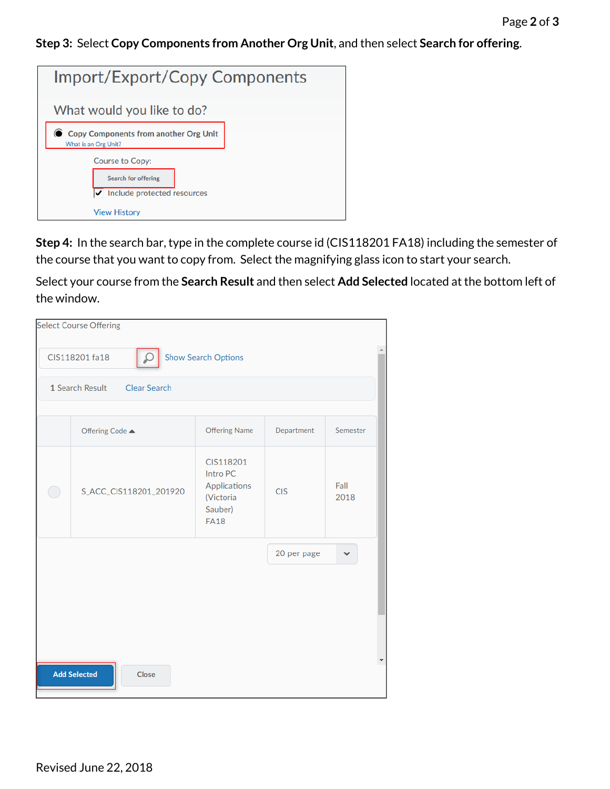**Step 3:** Select **Copy Components from Another Org Unit**, and then select **Search for offering**.

| Import/Export/Copy Components                                                                                                    |  |  |  |
|----------------------------------------------------------------------------------------------------------------------------------|--|--|--|
| What would you like to do?                                                                                                       |  |  |  |
| <b>Copy Components from another Org Unit</b><br>What is an Org Unit?                                                             |  |  |  |
| <b>Course to Copy:</b><br><b>Search for offering</b><br>$\blacktriangleright$ Include protected resources<br><b>View History</b> |  |  |  |

**Step 4:** In the search bar, type in the complete course id (CIS118201 FA18) including the semester of the course that you want to copy from. Select the magnifying glass icon to start your search.

Select your course from the **Search Result** and then select **Add Selected** located at the bottom left of the window.

|    | <b>Select Course Offering</b>                |                                                                              |                  |              |  |  |  |  |
|----|----------------------------------------------|------------------------------------------------------------------------------|------------------|--------------|--|--|--|--|
|    | <b>Show Search Options</b><br>CIS118201 fa18 |                                                                              |                  |              |  |  |  |  |
|    | Clear Search<br>1 Search Result              |                                                                              |                  |              |  |  |  |  |
|    |                                              |                                                                              |                  |              |  |  |  |  |
|    | Offering Code ▲                              | <b>Offering Name</b>                                                         | Department       | Semester     |  |  |  |  |
| i. | S_ACC_CIS118201_201920                       | CIS118201<br>Intro PC<br>Applications<br>(Victoria<br>Sauber)<br><b>FA18</b> | <b>CIS</b>       | Fall<br>2018 |  |  |  |  |
|    |                                              |                                                                              | 20 per page<br>v |              |  |  |  |  |
|    |                                              |                                                                              |                  |              |  |  |  |  |
|    |                                              |                                                                              |                  |              |  |  |  |  |
|    | <b>Add Selected</b><br>Close                 |                                                                              |                  |              |  |  |  |  |